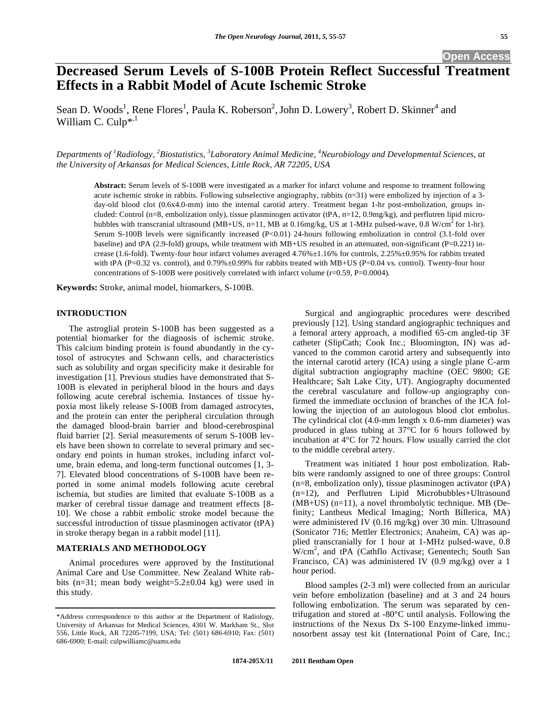# **Decreased Serum Levels of S-100B Protein Reflect Successful Treatment Effects in a Rabbit Model of Acute Ischemic Stroke**

Sean D. Woods<sup>1</sup>, Rene Flores<sup>1</sup>, Paula K. Roberson<sup>2</sup>, John D. Lowery<sup>3</sup>, Robert D. Skinner<sup>4</sup> and William C. Culp\*,1

*Departments of 1 Radiology, 2 Biostatistics, 3 Laboratory Animal Medicine, 4 Neurobiology and Developmental Sciences, at the University of Arkansas for Medical Sciences, Little Rock, AR 72205, USA* 

**Abstract:** Serum levels of S-100B were investigated as a marker for infarct volume and response to treatment following acute ischemic stroke in rabbits. Following subselective angiography, rabbits (n=31) were embolized by injection of a 3 day-old blood clot (0.6x4.0-mm) into the internal carotid artery. Treatment began 1-hr post-embolization, groups included: Control (n=8, embolization only), tissue plasminogen activator (tPA, n=12, 0.9mg/kg), and perflutren lipid microbubbles with transcranial ultrasound (MB+US, n=11, MB at 0.16mg/kg, US at 1-MHz pulsed-wave, 0.8 W/cm<sup>2</sup> for 1-hr). Serum S-100B levels were significantly increased (P<0.01) 24-hours following embolization in control (3.1-fold over baseline) and tPA (2.9-fold) groups, while treatment with MB+US resulted in an attenuated, non-significant (P=0.221) increase (1.6-fold). Twenty-four hour infarct volumes averaged 4.76%±1.16% for controls, 2.25%±0.95% for rabbits treated with tPA (P=0.32 vs. control), and 0.79% $\pm$ 0.99% for rabbits treated with MB+US (P=0.04 vs. control). Twenty-four hour concentrations of S-100B were positively correlated with infarct volume (r=0.59, P=0.0004).

**Keywords:** Stroke, animal model, biomarkers, S-100B.

## **INTRODUCTION**

The astroglial protein S-100B has been suggested as a potential biomarker for the diagnosis of ischemic stroke. This calcium binding protein is found abundantly in the cytosol of astrocytes and Schwann cells, and characteristics such as solubility and organ specificity make it desirable for investigation [1]. Previous studies have demonstrated that S-100B is elevated in peripheral blood in the hours and days following acute cerebral ischemia. Instances of tissue hypoxia most likely release S-100B from damaged astrocytes, and the protein can enter the peripheral circulation through the damaged blood-brain barrier and blood-cerebrospinal fluid barrier [2]. Serial measurements of serum S-100B levels have been shown to correlate to several primary and secondary end points in human strokes, including infarct volume, brain edema, and long-term functional outcomes [1, 3- 7]. Elevated blood concentrations of S-100B have been reported in some animal models following acute cerebral ischemia, but studies are limited that evaluate S-100B as a marker of cerebral tissue damage and treatment effects [8- 10]. We chose a rabbit embolic stroke model because the successful introduction of tissue plasminogen activator (tPA) in stroke therapy began in a rabbit model [11].

# **MATERIALS AND METHODOLOGY**

Animal procedures were approved by the Institutional Animal Care and Use Committee. New Zealand White rabbits (n=31; mean body weight= $5.2\pm0.04$  kg) were used in this study.

Surgical and angiographic procedures were described previously [12]. Using standard angiographic techniques and a femoral artery approach, a modified 65-cm angled-tip 3F catheter (SlipCath; Cook Inc.; Bloomington, IN) was advanced to the common carotid artery and subsequently into the internal carotid artery (ICA) using a single plane C-arm digital subtraction angiography machine (OEC 9800; GE Healthcare; Salt Lake City, UT). Angiography documented the cerebral vasculature and follow-up angiography confirmed the immediate occlusion of branches of the ICA following the injection of an autologous blood clot embolus. The cylindrical clot (4.0-mm length x 0.6-mm diameter) was produced in glass tubing at 37°C for 6 hours followed by incubation at 4°C for 72 hours. Flow usually carried the clot to the middle cerebral artery.

Treatment was initiated 1 hour post embolization. Rabbits were randomly assigned to one of three groups: Control (n=8, embolization only), tissue plasminogen activator (tPA) (n=12), and Perflutren Lipid Microbubbles+Ultrasound (MB+US) (n=11), a novel thrombolytic technique. MB (Definity; Lantheus Medical Imaging; North Billerica, MA) were administered IV (0.16 mg/kg) over 30 min. Ultrasound (Sonicator 716; Mettler Electronics; Anaheim, CA) was applied transcranially for 1 hour at 1-MHz pulsed-wave, 0.8 W/cm<sup>2</sup> , and tPA (Cathflo Activase; Genentech; South San Francisco, CA) was administered IV (0.9 mg/kg) over a 1 hour period.

Blood samples (2-3 ml) were collected from an auricular vein before embolization (baseline) and at 3 and 24 hours following embolization. The serum was separated by centrifugation and stored at -80°C until analysis. Following the instructions of the Nexus Dx S-100 Enzyme-linked immunosorbent assay test kit (International Point of Care, Inc.;

<sup>\*</sup>Address correspondence to this author at the Department of Radiology, University of Arkansas for Medical Sciences, 4301 W. Markham St., Slot 556, Little Rock, AR 72205-7199, USA; Tel: (501) 686-6910; Fax: (501) 686-6900; E-mail: culpwilliamc@uams.edu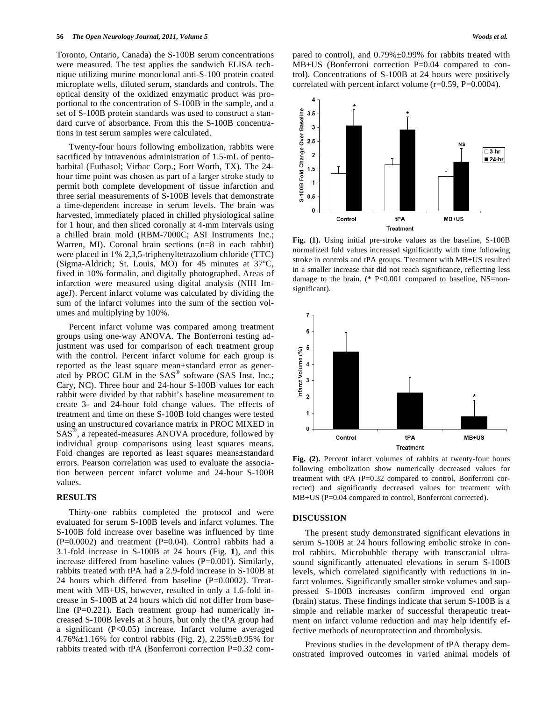Toronto, Ontario, Canada) the S-100B serum concentrations were measured. The test applies the sandwich ELISA technique utilizing murine monoclonal anti-S-100 protein coated microplate wells, diluted serum, standards and controls. The optical density of the oxidized enzymatic product was proportional to the concentration of S-100B in the sample, and a set of S-100B protein standards was used to construct a standard curve of absorbance. From this the S-100B concentrations in test serum samples were calculated.

Twenty-four hours following embolization, rabbits were sacrificed by intravenous administration of 1.5-mL of pentobarbital (Euthasol; Virbac Corp.; Fort Worth, TX). The 24 hour time point was chosen as part of a larger stroke study to permit both complete development of tissue infarction and three serial measurements of S-100B levels that demonstrate a time-dependent increase in serum levels. The brain was harvested, immediately placed in chilled physiological saline for 1 hour, and then sliced coronally at 4-mm intervals using a chilled brain mold (RBM-7000C; ASI Instruments Inc.; Warren, MI). Coronal brain sections (n=8 in each rabbit) were placed in 1% 2,3,5-triphenyltetrazolium chloride (TTC) (Sigma-Aldrich; St. Louis, MO) for 45 minutes at 37ºC, fixed in 10% formalin, and digitally photographed. Areas of infarction were measured using digital analysis (NIH ImageJ). Percent infarct volume was calculated by dividing the sum of the infarct volumes into the sum of the section volumes and multiplying by 100%.

Percent infarct volume was compared among treatment groups using one-way ANOVA. The Bonferroni testing adjustment was used for comparison of each treatment group with the control. Percent infarct volume for each group is reported as the least square mean±standard error as generated by PROC GLM in the SAS<sup>®</sup> software (SAS Inst. Inc.; Cary, NC). Three hour and 24-hour S-100B values for each rabbit were divided by that rabbit's baseline measurement to create 3- and 24-hour fold change values. The effects of treatment and time on these S-100B fold changes were tested using an unstructured covariance matrix in PROC MIXED in SAS®, a repeated-measures ANOVA procedure, followed by individual group comparisons using least squares means. Fold changes are reported as least squares means±standard errors. Pearson correlation was used to evaluate the association between percent infarct volume and 24-hour S-100B values.

## **RESULTS**

Thirty-one rabbits completed the protocol and were evaluated for serum S-100B levels and infarct volumes. The S-100B fold increase over baseline was influenced by time  $(P=0.0002)$  and treatment  $(P=0.04)$ . Control rabbits had a 3.1-fold increase in S-100B at 24 hours (Fig. **1**), and this increase differed from baseline values (P=0.001). Similarly, rabbits treated with tPA had a 2.9-fold increase in S-100B at 24 hours which differed from baseline (P=0.0002). Treatment with MB+US, however, resulted in only a 1.6-fold increase in S-100B at 24 hours which did not differ from baseline (P=0.221). Each treatment group had numerically increased S-100B levels at 3 hours, but only the tPA group had a significant (P<0.05) increase. Infarct volume averaged 4.76%±1.16% for control rabbits (Fig. **2**), 2.25%±0.95% for rabbits treated with tPA (Bonferroni correction P=0.32 compared to control), and 0.79%±0.99% for rabbits treated with MB+US (Bonferroni correction P=0.04 compared to control). Concentrations of S-100B at 24 hours were positively correlated with percent infarct volume (r=0.59, P=0.0004).



**Fig. (1).** Using initial pre-stroke values as the baseline, S-100B normalized fold values increased significantly with time following stroke in controls and tPA groups. Treatment with MB+US resulted in a smaller increase that did not reach significance, reflecting less damage to the brain. (\* P<0.001 compared to baseline, NS=nonsignificant).



**Fig. (2).** Percent infarct volumes of rabbits at twenty-four hours following embolization show numerically decreased values for treatment with tPA (P=0.32 compared to control, Bonferroni corrected) and significantly decreased values for treatment with MB+US (P=0.04 compared to control, Bonferroni corrected).

#### **DISCUSSION**

The present study demonstrated significant elevations in serum S-100B at 24 hours following embolic stroke in control rabbits. Microbubble therapy with transcranial ultrasound significantly attenuated elevations in serum S-100B levels, which correlated significantly with reductions in infarct volumes. Significantly smaller stroke volumes and suppressed S-100B increases confirm improved end organ (brain) status. These findings indicate that serum S-100B is a simple and reliable marker of successful therapeutic treatment on infarct volume reduction and may help identify effective methods of neuroprotection and thrombolysis.

Previous studies in the development of tPA therapy demonstrated improved outcomes in varied animal models of